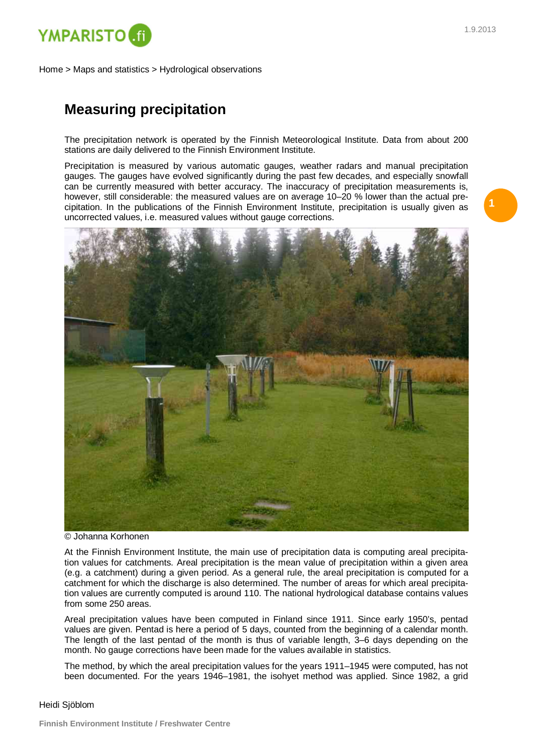

Home > Maps and statistics > Hydrological observations

## **Measuring precipitation**

The precipitation network is operated by the Finnish Meteorological Institute. Data from about 200 stations are daily delivered to the Finnish Environment Institute.

Precipitation is measured by various automatic gauges, weather radars and manual precipitation gauges. The gauges have evolved significantly during the past few decades, and especially snowfall can be currently measured with better accuracy. The inaccuracy of precipitation measurements is, however, still considerable: the measured values are on average 10–20 % lower than the actual precipitation. In the publications of the Finnish Environment Institute, precipitation is usually given as uncorrected values, i.e. measured values without gauge corrections.



© Johanna Korhonen

At the Finnish Environment Institute, the main use of precipitation data is computing areal precipitation values for catchments. Areal precipitation is the mean value of precipitation within a given area (e.g. a catchment) during a given period. As a general rule, the areal precipitation is computed for a catchment for which the discharge is also determined. The number of areas for which areal precipitation values are currently computed is around 110. The national hydrological database contains values from some 250 areas.

Areal precipitation values have been computed in Finland since 1911. Since early 1950's, pentad values are given. Pentad is here a period of 5 days, counted from the beginning of a calendar month. The length of the last pentad of the month is thus of variable length, 3–6 days depending on the month. No gauge corrections have been made for the values available in statistics.

The method, by which the areal precipitation values for the years 1911–1945 were computed, has not been documented. For the years 1946–1981, the isohyet method was applied. Since 1982, a grid

## Heidi Sjöblom